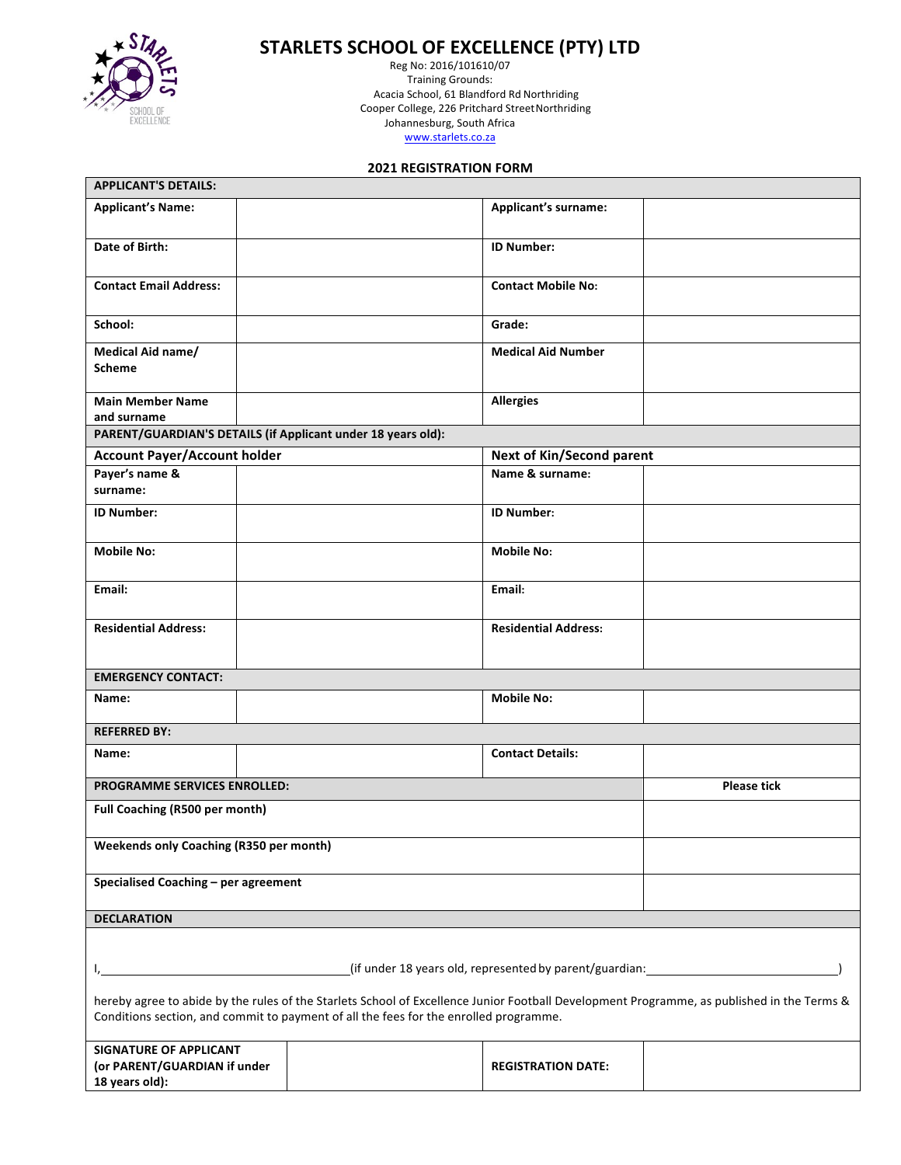

# **STARLETS SCHOOL OF EXCELLENCE (PTY) LTD**

Reg No: 2016/101610/07 Training Grounds: Acacia School, 61 Blandford Rd Northriding Cooper College, 226 Pritchard StreetNorthriding .<br>Johannesburg, South Africa www.starlets.co.za

# **2021 REGISTRATION FORM**

| <b>APPLICANT'S DETAILS:</b>                                                                                                                |  |  |                             |                    |
|--------------------------------------------------------------------------------------------------------------------------------------------|--|--|-----------------------------|--------------------|
| <b>Applicant's Name:</b>                                                                                                                   |  |  | <b>Applicant's surname:</b> |                    |
|                                                                                                                                            |  |  |                             |                    |
| Date of Birth:                                                                                                                             |  |  | <b>ID Number:</b>           |                    |
|                                                                                                                                            |  |  |                             |                    |
| <b>Contact Email Address:</b>                                                                                                              |  |  | <b>Contact Mobile No:</b>   |                    |
|                                                                                                                                            |  |  |                             |                    |
| School:                                                                                                                                    |  |  | Grade:                      |                    |
| Medical Aid name/                                                                                                                          |  |  | <b>Medical Aid Number</b>   |                    |
| Scheme                                                                                                                                     |  |  |                             |                    |
| <b>Main Member Name</b>                                                                                                                    |  |  | <b>Allergies</b>            |                    |
| and surname                                                                                                                                |  |  |                             |                    |
| PARENT/GUARDIAN'S DETAILS (if Applicant under 18 years old):                                                                               |  |  |                             |                    |
| <b>Account Payer/Account holder</b><br><b>Next of Kin/Second parent</b>                                                                    |  |  |                             |                    |
| Payer's name &                                                                                                                             |  |  | Name & surname:             |                    |
| surname:                                                                                                                                   |  |  |                             |                    |
| <b>ID Number:</b>                                                                                                                          |  |  | <b>ID Number:</b>           |                    |
|                                                                                                                                            |  |  |                             |                    |
| <b>Mobile No:</b>                                                                                                                          |  |  | <b>Mobile No:</b>           |                    |
|                                                                                                                                            |  |  |                             |                    |
| Email:                                                                                                                                     |  |  | Email:                      |                    |
|                                                                                                                                            |  |  |                             |                    |
| <b>Residential Address:</b>                                                                                                                |  |  | <b>Residential Address:</b> |                    |
|                                                                                                                                            |  |  |                             |                    |
| <b>EMERGENCY CONTACT:</b>                                                                                                                  |  |  |                             |                    |
| Name:                                                                                                                                      |  |  | <b>Mobile No:</b>           |                    |
|                                                                                                                                            |  |  |                             |                    |
| <b>REFERRED BY:</b>                                                                                                                        |  |  |                             |                    |
| Name:                                                                                                                                      |  |  | <b>Contact Details:</b>     |                    |
|                                                                                                                                            |  |  |                             |                    |
| <b>PROGRAMME SERVICES ENROLLED:</b>                                                                                                        |  |  |                             | <b>Please tick</b> |
| Full Coaching (R500 per month)                                                                                                             |  |  |                             |                    |
| Weekends only Coaching (R350 per month)                                                                                                    |  |  |                             |                    |
|                                                                                                                                            |  |  |                             |                    |
| Specialised Coaching - per agreement                                                                                                       |  |  |                             |                    |
|                                                                                                                                            |  |  |                             |                    |
| <b>DECLARATION</b>                                                                                                                         |  |  |                             |                    |
|                                                                                                                                            |  |  |                             |                    |
|                                                                                                                                            |  |  |                             |                    |
| (if under 18 years old, represented by parent/guardian: 1992)                                                                              |  |  |                             |                    |
| hereby agree to abide by the rules of the Starlets School of Excellence Junior Football Development Programme, as published in the Terms & |  |  |                             |                    |
| Conditions section, and commit to payment of all the fees for the enrolled programme.                                                      |  |  |                             |                    |
|                                                                                                                                            |  |  |                             |                    |
| <b>SIGNATURE OF APPLICANT</b><br>(or PARENT/GUARDIAN if under                                                                              |  |  | <b>REGISTRATION DATE:</b>   |                    |
| 18 years old):                                                                                                                             |  |  |                             |                    |